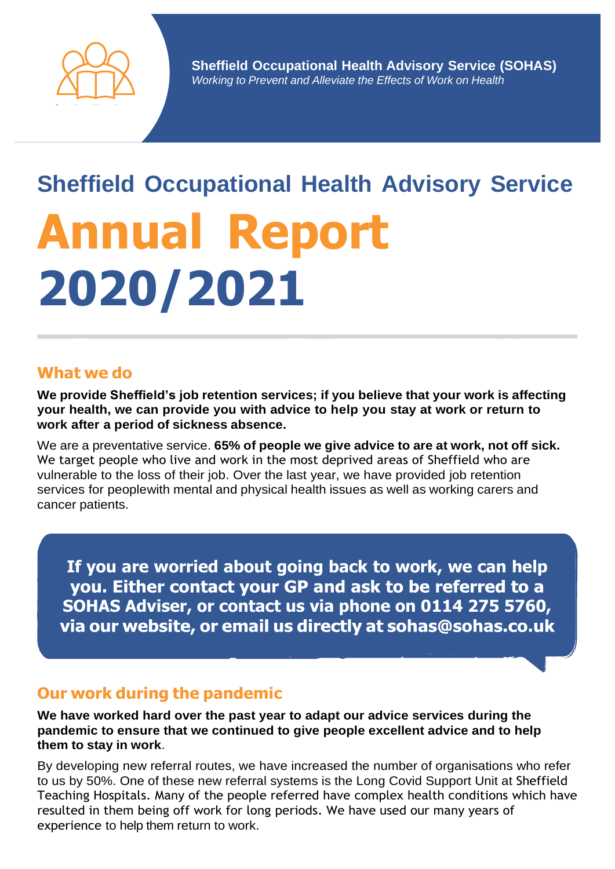

# **Sheffield Occupational Health Advisory Service Annual Report 2020/2021**

#### **What we do**

**We provide Sheffield's job retention services; if you believe that your work is affecting your health, we can provide you with advice to help you stay at work or return to work after a period of sickness absence.**

We are a preventative service. **65% of people we give advice to are at work, not off sick.** We target people who live and work in the most deprived areas of Sheffield who are vulnerable to the loss of their job. Over the last year, we have provided job retention services for peoplewith mental and physical health issues as well as working carers and cancer patients.

**If you are worried about going back to work, we can help** you. Either contact your GP and ask to be referred to a **SOHAS Adviser, or contact us via phone on 0114 275 5760,**via our website, or email us directly at sohas@sohas.co.uk

#### **Our work during the pandemic**

**We have worked hard over the past year to adapt our advice services during the pandemic to ensure that we continued to give people excellent advice and to help them to stay in work**.

By developing new referral routes, we have increased the number of organisations who refer to us by 50%. One of these new referral systems is the Long Covid Support Unit at Sheffield Teaching Hospitals. Many of the people referred have complex health conditions which have resulted in them being off work for long periods. We have used our many years of experience to help them return to work.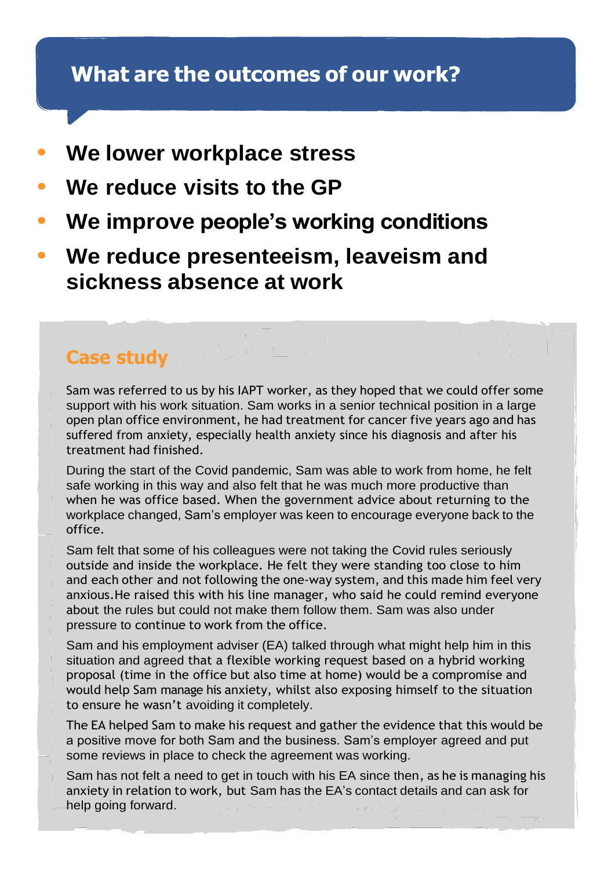### What are the outcomes of our work?

- **• We lower workplace stress**
- **• We reduce visits to the GP**
- **• We improve people's working conditions**
- **• We reduce presenteeism, leaveism and sickness absence at work**

#### **Case study**

Sam was referred to us by his IAPT worker, as they hoped that we could offer some support with his work situation. Sam works in a senior technical position in a large open plan office environment, he had treatment for cancer five years ago and has suffered from anxiety, especially health anxiety since his diagnosis and after his treatment had finished.

During the start of the Covid pandemic, Sam was able to work from home, he felt safe working in this way and also felt that he was much more productive than when he was office based. When the government advice about returning to the workplace changed, Sam's employer was keen to encourage everyone back to the office.

Sam felt that some of his colleagues were not taking the Covid rules seriously outside and inside the workplace. He felt they were standing too close to him and each other and not following the one-way system, and this made him feel very anxious.He raised this with his line manager, who said he could remind everyone about the rules but could not make them follow them. Sam was also under pressure to continue to work from the office.

Sam and his employment adviser (EA) talked through what might help him in this situation and agreed that a flexible working request based on a hybrid working proposal (time in the office but also time at home) would be a compromise and would help Sam manage his anxiety, whilst also exposing himself to the situation to ensure he wasn't avoiding it completely.

The EA helped Sam to make his request and gather the evidence that this would be a positive move for both Sam and the business. Sam's employer agreed and put some reviews in place to check the agreement was working.

Sam has not felt a need to get in touch with his EA since then, as he is managing his anxiety in relation to work, but Sam has the EA's contact details and can ask for help going forward.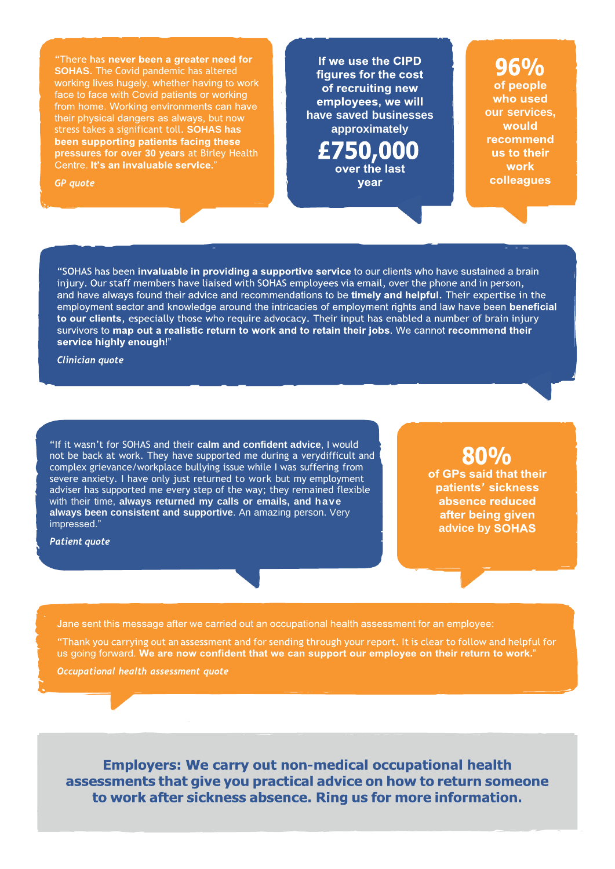"There has never been a greater need for **SOHAS**. The Covid pandemic has altered working lives hugely, whether having to work face to face with Covid patients or working from home. Working environments can have their physical dangers as always, but now stress takes a significant toll. **SOHAS has** been supporting patients facing these **pressures for over 30 years** at Birley Health Centre. It's an invaluable service."

**GP** quote

If we use the CIPD figures for the cost of recruiting new employees, we will **have saved businesses approximately**  $£750,000$ 

vear

## 96%

of people who used **our services,** would **recommend** us to their **work** colleagues

"SOHAS has been invaluable in providing a supportive service to our clients who have sustained a brain injury. Our staff members have liaised with SOHAS employees via email, over the phone and in person, and have always found their advice and recommendations to be timely and helpful. Their expertise in the employment sector and knowledge around the intricacies of employment rights and law have been beneficial to our clients, especially those who require advocacy. Their input has enabled a number of brain injury survivors to map out a realistic return to work and to retain their jobs. We cannot recommend their service highly enough!"

Clinician quote

"If it wasn't for SOHAS and their **calm and confident advice**, I would not be back at work. They have supported me during a verydifficult and complex grievance/workplace bullying issue while I was suffering from severe anxiety. I have only just returned to work but my employment adviser has supported me every step of the way; they remained flexible with their time, **always returned my calls or emails, and have always been consistent and supportive**. An amazing person. Very impressed." **advice by** 

**Patient quote** 

80% of GPs said that their patients' sickness absence reduced after being given

Jane sent this message after we carried out an occupational health assessment for an employee:

"Thank you carrying out an assessment and for sending through your report. It is clear to follow and helpful for us going forward. We are now confident that we can support our employee on their return to work."

Occupational health assessment quote

**Employers: We carry out non-medical occupational health** assessments that give you practical advice on how to return someone to work after sickness absence. Ring us for more information.